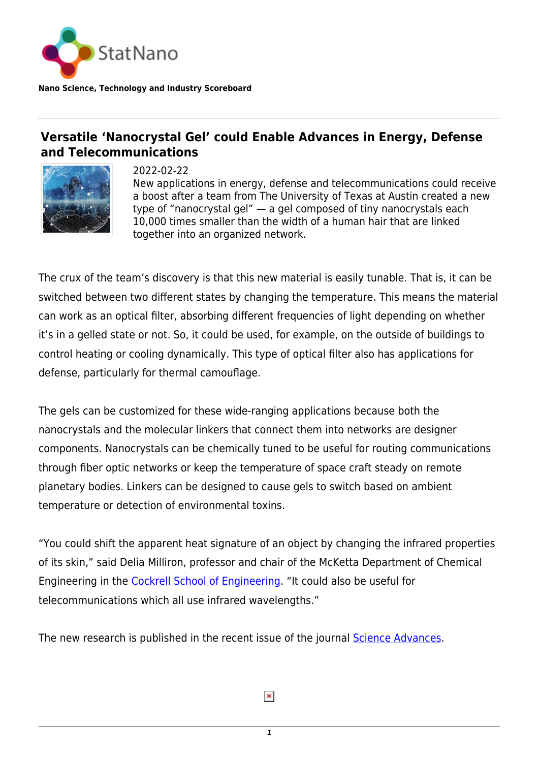

**Nano Science, Technology and Industry Scoreboard**

## **Versatile 'Nanocrystal Gel' could Enable Advances in Energy, Defense and Telecommunications**



2022-02-22 New applications in energy, defense and telecommunications could receive a boost after a team from The University of Texas at Austin created a new type of "nanocrystal gel" — a gel composed of tiny nanocrystals each 10,000 times smaller than the width of a human hair that are linked together into an organized network.

The crux of the team's discovery is that this new material is easily tunable. That is, it can be switched between two different states by changing the temperature. This means the material can work as an optical filter, absorbing different frequencies of light depending on whether it's in a gelled state or not. So, it could be used, for example, on the outside of buildings to control heating or cooling dynamically. This type of optical filter also has applications for defense, particularly for thermal camouflage.

The gels can be customized for these wide-ranging applications because both the nanocrystals and the molecular linkers that connect them into networks are designer components. Nanocrystals can be chemically tuned to be useful for routing communications through fiber optic networks or keep the temperature of space craft steady on remote planetary bodies. Linkers can be designed to cause gels to switch based on ambient temperature or detection of environmental toxins.

"You could shift the apparent heat signature of an object by changing the infrared properties of its skin," said Delia Milliron, professor and chair of the McKetta Department of Chemical Engineering in the [Cockrell School of Engineering.](https://cockrell.utexas.edu/) "It could also be useful for telecommunications which all use infrared wavelengths."

The new research is published in the recent issue of the journal [Science Advances.](https://www.science.org/doi/10.1126/sciadv.abm7364?adobe_mc=MCMID%3D41067644319744839942468738518826334393%7CMCORGID%3D242B6472541199F70A4C98A6%2540AdobeOrg%7CTS%3D1645382874&_ga=2.95852188.1098272704.1645382872-185628021.1617630742)

*1*